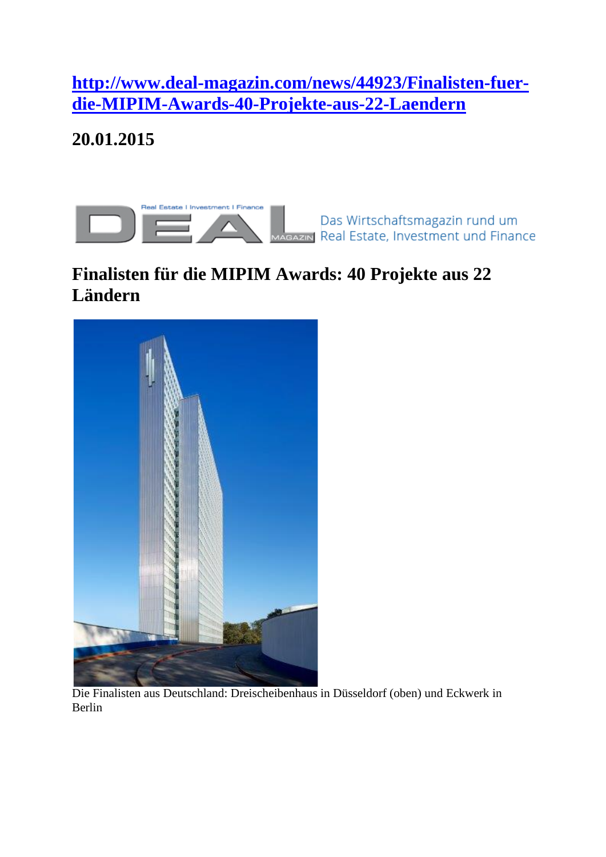**[http://www.deal-magazin.com/news/44923/Finalisten-fuer](http://www.deal-magazin.com/news/44923/Finalisten-fuer-die-MIPIM-Awards-40-Projekte-aus-22-Laendern)[die-MIPIM-Awards-40-Projekte-aus-22-Laendern](http://www.deal-magazin.com/news/44923/Finalisten-fuer-die-MIPIM-Awards-40-Projekte-aus-22-Laendern)**

**20.01.2015**



Das Wirtschaftsmagazin rund um AGAZIN Real Estate, Investment und Finance

## **Finalisten für die MIPIM Awards: 40 Projekte aus 22 Ländern**



Die Finalisten aus Deutschland: Dreischeibenhaus in Düsseldorf (oben) und Eckwerk in Berlin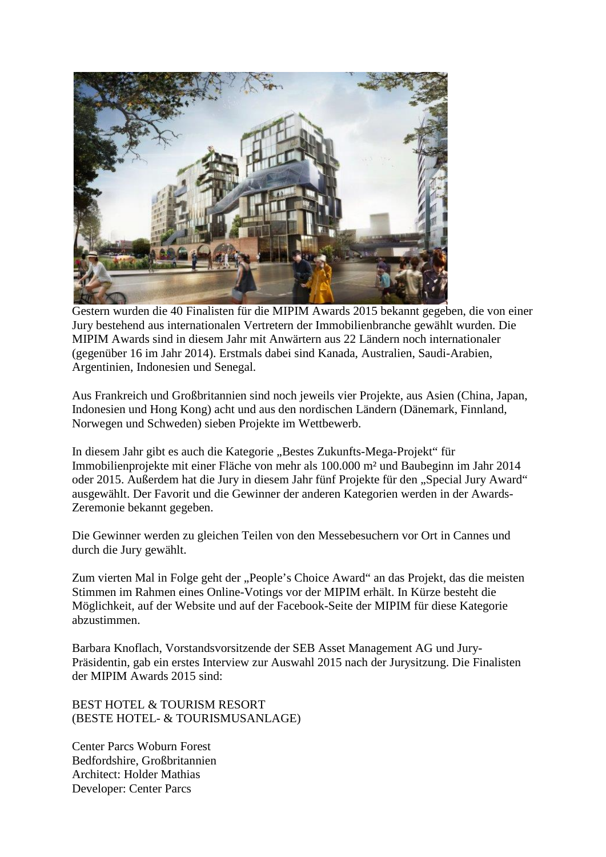

Gestern wurden die 40 Finalisten für die MIPIM Awards 2015 bekannt gegeben, die von einer Jury bestehend aus internationalen Vertretern der Immobilienbranche gewählt wurden. Die MIPIM Awards sind in diesem Jahr mit Anwärtern aus 22 Ländern noch internationaler (gegenüber 16 im Jahr 2014). Erstmals dabei sind Kanada, Australien, Saudi-Arabien, Argentinien, Indonesien und Senegal.

Aus Frankreich und Großbritannien sind noch jeweils vier Projekte, aus Asien (China, Japan, Indonesien und Hong Kong) acht und aus den nordischen Ländern (Dänemark, Finnland, Norwegen und Schweden) sieben Projekte im Wettbewerb.

In diesem Jahr gibt es auch die Kategorie "Bestes Zukunfts-Mega-Projekt" für Immobilienprojekte mit einer Fläche von mehr als 100.000 m² und Baubeginn im Jahr 2014 oder 2015. Außerdem hat die Jury in diesem Jahr fünf Projekte für den "Special Jury Award" ausgewählt. Der Favorit und die Gewinner der anderen Kategorien werden in der Awards-Zeremonie bekannt gegeben.

Die Gewinner werden zu gleichen Teilen von den Messebesuchern vor Ort in Cannes und durch die Jury gewählt.

Zum vierten Mal in Folge geht der "People's Choice Award" an das Projekt, das die meisten Stimmen im Rahmen eines Online-Votings vor der MIPIM erhält. In Kürze besteht die Möglichkeit, auf der Website und auf der Facebook-Seite der MIPIM für diese Kategorie abzustimmen.

Barbara Knoflach, Vorstandsvorsitzende der SEB Asset Management AG und Jury-Präsidentin, gab ein erstes Interview zur Auswahl 2015 nach der Jurysitzung. Die Finalisten der MIPIM Awards 2015 sind:

BEST HOTEL & TOURISM RESORT (BESTE HOTEL- & TOURISMUSANLAGE)

Center Parcs Woburn Forest Bedfordshire, Großbritannien Architect: Holder Mathias Developer: Center Parcs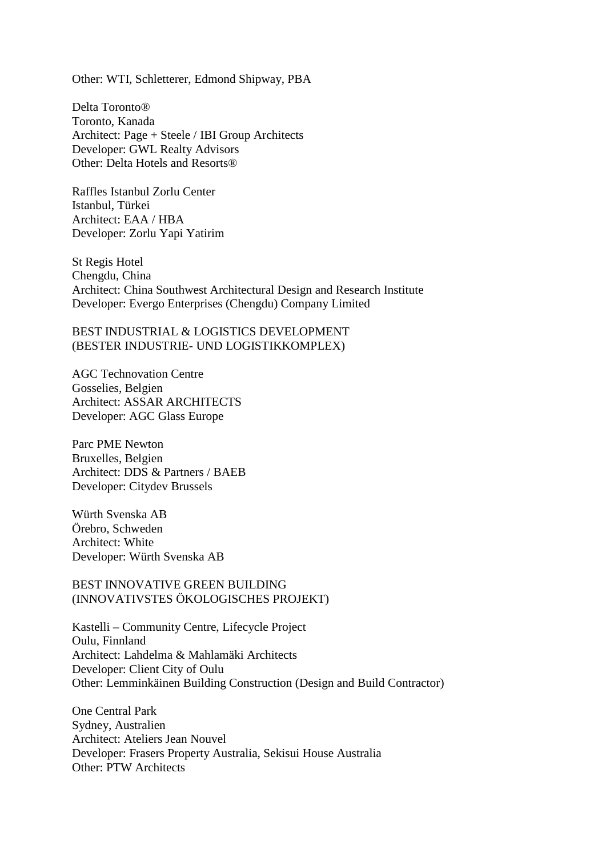Other: WTI, Schletterer, Edmond Shipway, PBA

Delta Toronto® Toronto, Kanada Architect: Page + Steele / IBI Group Architects Developer: GWL Realty Advisors Other: Delta Hotels and Resorts®

Raffles Istanbul Zorlu Center Istanbul, Türkei Architect: EAA / HBA Developer: Zorlu Yapi Yatirim

St Regis Hotel Chengdu, China Architect: China Southwest Architectural Design and Research Institute Developer: Evergo Enterprises (Chengdu) Company Limited

BEST INDUSTRIAL & LOGISTICS DEVELOPMENT (BESTER INDUSTRIE- UND LOGISTIKKOMPLEX)

AGC Technovation Centre Gosselies, Belgien Architect: ASSAR ARCHITECTS Developer: AGC Glass Europe

Parc PME Newton Bruxelles, Belgien Architect: DDS & Partners / BAEB Developer: Citydev Brussels

Würth Svenska AB Örebro, Schweden Architect: White Developer: Würth Svenska AB

BEST INNOVATIVE GREEN BUILDING (INNOVATIVSTES ÖKOLOGISCHES PROJEKT)

Kastelli – Community Centre, Lifecycle Project Oulu, Finnland Architect: Lahdelma & Mahlamäki Architects Developer: Client City of Oulu Other: Lemminkäinen Building Construction (Design and Build Contractor)

One Central Park Sydney, Australien Architect: Ateliers Jean Nouvel Developer: Frasers Property Australia, Sekisui House Australia Other: PTW Architects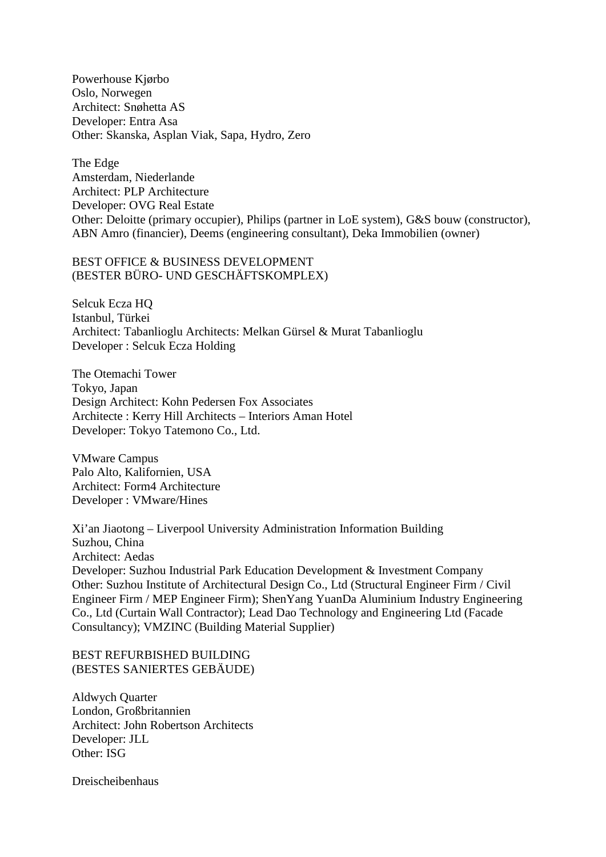Powerhouse Kjørbo Oslo, Norwegen Architect: Snøhetta AS Developer: Entra Asa Other: Skanska, Asplan Viak, Sapa, Hydro, Zero

The Edge Amsterdam, Niederlande Architect: PLP Architecture Developer: OVG Real Estate Other: Deloitte (primary occupier), Philips (partner in LoE system), G&S bouw (constructor), ABN Amro (financier), Deems (engineering consultant), Deka Immobilien (owner)

## BEST OFFICE & BUSINESS DEVELOPMENT (BESTER BÜRO- UND GESCHÄFTSKOMPLEX)

Selcuk Ecza HQ Istanbul, Türkei Architect: Tabanlioglu Architects: Melkan Gürsel & Murat Tabanlioglu Developer : Selcuk Ecza Holding

The Otemachi Tower Tokyo, Japan Design Architect: Kohn Pedersen Fox Associates Architecte : Kerry Hill Architects – Interiors Aman Hotel Developer: Tokyo Tatemono Co., Ltd.

VMware Campus Palo Alto, Kalifornien, USA Architect: Form4 Architecture Developer : VMware/Hines

Xi'an Jiaotong – Liverpool University Administration Information Building Suzhou, China Architect: Aedas Developer: Suzhou Industrial Park Education Development & Investment Company Other: Suzhou Institute of Architectural Design Co., Ltd (Structural Engineer Firm / Civil Engineer Firm / MEP Engineer Firm); ShenYang YuanDa Aluminium Industry Engineering Co., Ltd (Curtain Wall Contractor); Lead Dao Technology and Engineering Ltd (Facade Consultancy); VMZINC (Building Material Supplier)

BEST REFURBISHED BUILDING (BESTES SANIERTES GEBÄUDE)

Aldwych Quarter London, Großbritannien Architect: John Robertson Architects Developer: JLL Other: ISG

Dreischeibenhaus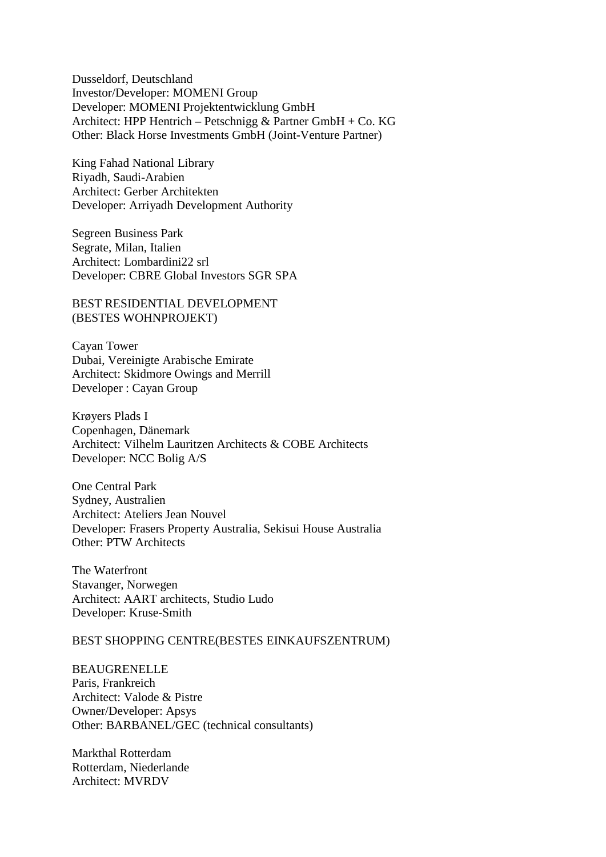Dusseldorf, Deutschland Investor/Developer: MOMENI Group Developer: MOMENI Projektentwicklung GmbH Architect: HPP Hentrich – Petschnigg & Partner GmbH + Co. KG Other: Black Horse Investments GmbH (Joint-Venture Partner)

King Fahad National Library Riyadh, Saudi-Arabien Architect: Gerber Architekten Developer: Arriyadh Development Authority

Segreen Business Park Segrate, Milan, Italien Architect: Lombardini22 srl Developer: CBRE Global Investors SGR SPA

BEST RESIDENTIAL DEVELOPMENT (BESTES WOHNPROJEKT)

Cayan Tower Dubai, Vereinigte Arabische Emirate Architect: Skidmore Owings and Merrill Developer : Cayan Group

Krøyers Plads I Copenhagen, Dänemark Architect: Vilhelm Lauritzen Architects & COBE Architects Developer: NCC Bolig A/S

One Central Park Sydney, Australien Architect: Ateliers Jean Nouvel Developer: Frasers Property Australia, Sekisui House Australia Other: PTW Architects

The Waterfront Stavanger, Norwegen Architect: AART architects, Studio Ludo Developer: Kruse-Smith

## BEST SHOPPING CENTRE(BESTES EINKAUFSZENTRUM)

**BEAUGRENELLE** Paris, Frankreich Architect: Valode & Pistre Owner/Developer: Apsys Other: BARBANEL/GEC (technical consultants)

Markthal Rotterdam Rotterdam, Niederlande Architect: MVRDV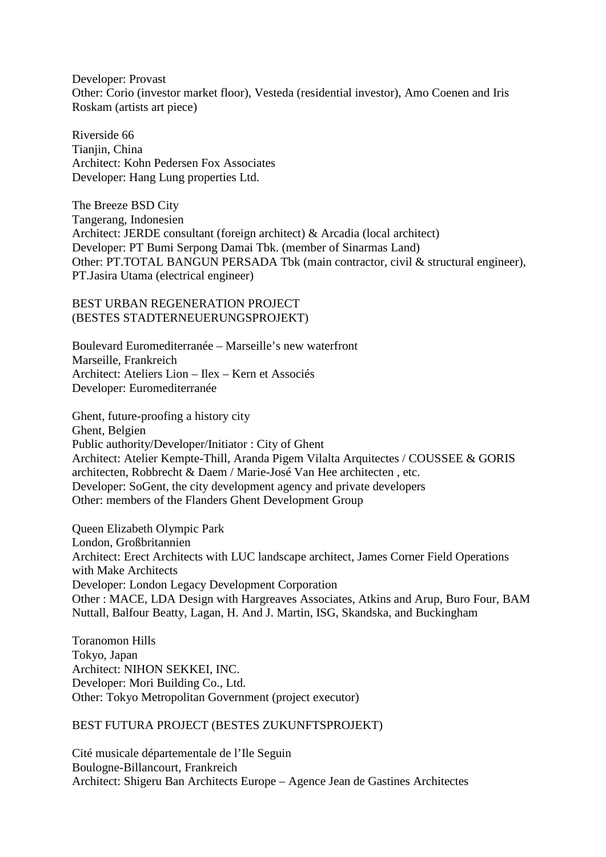Developer: Provast Other: Corio (investor market floor), Vesteda (residential investor), Amo Coenen and Iris Roskam (artists art piece)

Riverside 66 Tianiin, China Architect: Kohn Pedersen Fox Associates Developer: Hang Lung properties Ltd.

The Breeze BSD City Tangerang, Indonesien Architect: JERDE consultant (foreign architect) & Arcadia (local architect) Developer: PT Bumi Serpong Damai Tbk. (member of Sinarmas Land) Other: PT.TOTAL BANGUN PERSADA Tbk (main contractor, civil & structural engineer), PT.Jasira Utama (electrical engineer)

BEST URBAN REGENERATION PROJECT (BESTES STADTERNEUERUNGSPROJEKT)

Boulevard Euromediterranée – Marseille's new waterfront Marseille, Frankreich Architect: Ateliers Lion – Ilex – Kern et Associés Developer: Euromediterranée

Ghent, future-proofing a history city Ghent, Belgien Public authority/Developer/Initiator : City of Ghent Architect: Atelier Kempte-Thill, Aranda Pigem Vilalta Arquitectes / COUSSEE & GORIS architecten, Robbrecht & Daem / Marie-José Van Hee architecten , etc. Developer: SoGent, the city development agency and private developers Other: members of the Flanders Ghent Development Group

Queen Elizabeth Olympic Park London, Großbritannien Architect: Erect Architects with LUC landscape architect, James Corner Field Operations with Make Architects Developer: London Legacy Development Corporation Other : MACE, LDA Design with Hargreaves Associates, Atkins and Arup, Buro Four, BAM Nuttall, Balfour Beatty, Lagan, H. And J. Martin, ISG, Skandska, and Buckingham

Toranomon Hills Tokyo, Japan Architect: NIHON SEKKEI, INC. Developer: Mori Building Co., Ltd. Other: Tokyo Metropolitan Government (project executor)

## BEST FUTURA PROJECT (BESTES ZUKUNFTSPROJEKT)

Cité musicale départementale de l'Ile Seguin Boulogne-Billancourt, Frankreich Architect: Shigeru Ban Architects Europe – Agence Jean de Gastines Architectes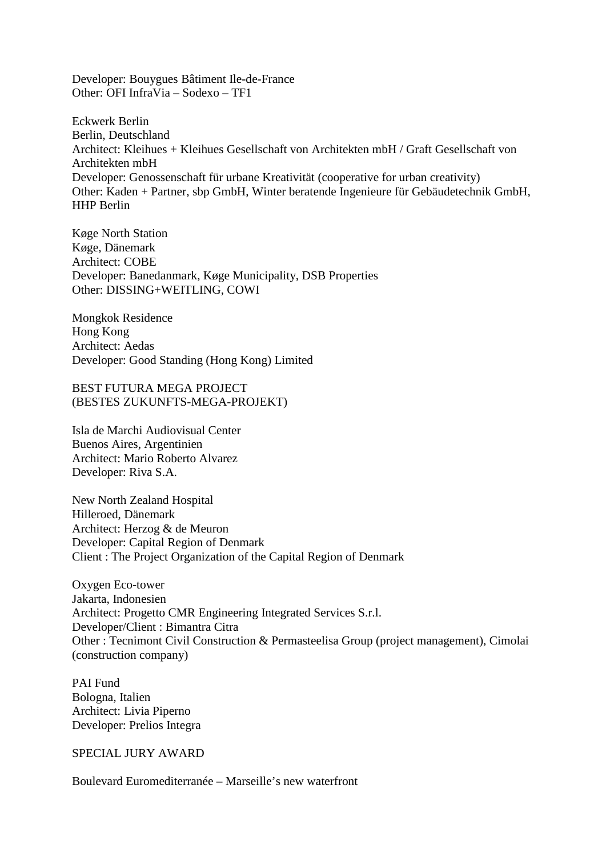Developer: Bouygues Bâtiment Ile-de-France Other: OFI InfraVia – Sodexo – TF1

Eckwerk Berlin Berlin, Deutschland Architect: Kleihues + Kleihues Gesellschaft von Architekten mbH / Graft Gesellschaft von Architekten mbH Developer: Genossenschaft für urbane Kreativität (cooperative for urban creativity) Other: Kaden + Partner, sbp GmbH, Winter beratende Ingenieure für Gebäudetechnik GmbH, HHP Berlin

Køge North Station Køge, Dänemark Architect: COBE Developer: Banedanmark, Køge Municipality, DSB Properties Other: DISSING+WEITLING, COWI

Mongkok Residence Hong Kong Architect: Aedas Developer: Good Standing (Hong Kong) Limited

BEST FUTURA MEGA PROJECT (BESTES ZUKUNFTS-MEGA-PROJEKT)

Isla de Marchi Audiovisual Center Buenos Aires, Argentinien Architect: Mario Roberto Alvarez Developer: Riva S.A.

New North Zealand Hospital Hilleroed, Dänemark Architect: Herzog & de Meuron Developer: Capital Region of Denmark Client : The Project Organization of the Capital Region of Denmark

Oxygen Eco-tower Jakarta, Indonesien Architect: Progetto CMR Engineering Integrated Services S.r.l. Developer/Client : Bimantra Citra Other : Tecnimont Civil Construction & Permasteelisa Group (project management), Cimolai (construction company)

PAI Fund Bologna, Italien Architect: Livia Piperno Developer: Prelios Integra

SPECIAL JURY AWARD

Boulevard Euromediterranée – Marseille's new waterfront